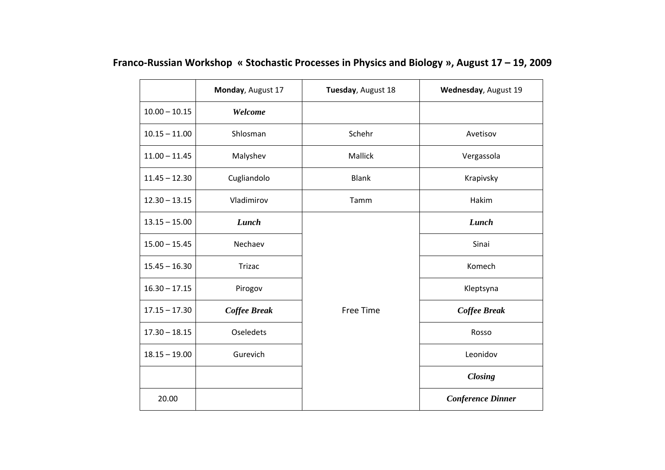|                 | Monday, August 17 | Tuesday, August 18 | Wednesday, August 19     |
|-----------------|-------------------|--------------------|--------------------------|
| $10.00 - 10.15$ | Welcome           |                    |                          |
| $10.15 - 11.00$ | Shlosman          | Schehr             | Avetisov                 |
| $11.00 - 11.45$ | Malyshev          | Mallick            | Vergassola               |
| $11.45 - 12.30$ | Cugliandolo       | <b>Blank</b>       | Krapivsky                |
| $12.30 - 13.15$ | Vladimirov        | Tamm               | Hakim                    |
| $13.15 - 15.00$ | Lunch             |                    | Lunch                    |
| $15.00 - 15.45$ | Nechaev           |                    | Sinai                    |
| $15.45 - 16.30$ | Trizac            |                    | Komech                   |
| $16.30 - 17.15$ | Pirogov           |                    | Kleptsyna                |
| $17.15 - 17.30$ | Coffee Break      | Free Time          | <b>Coffee Break</b>      |
| $17.30 - 18.15$ | <b>Oseledets</b>  |                    | Rosso                    |
| $18.15 - 19.00$ | Gurevich          |                    | Leonidov                 |
|                 |                   |                    | <b>Closing</b>           |
| 20.00           |                   |                    | <b>Conference Dinner</b> |

# **Franco‐Russian Workshop « Stochastic Processes in Physics and Biology », August 17 – 19, 2009**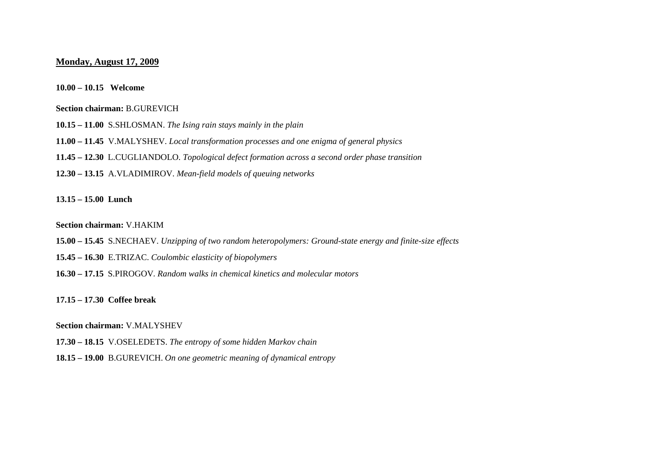## **Monday, August 17, 2009**

#### **10.00 – 10.15 Welcome**

## **Section chairman:** B.GUREVICH

- **10.15 11.00** S.SHLOSMAN. *The Ising rain stays mainly in the plain*
- **11.00 11.45** V.MALYSHEV. *Local transformation processes and one enigma of general physics*
- **11.45 12.30** L.CUGLIANDOLO. *Topological defect formation across a second order phase transition*
- **12.30 13.15** A.VLADIMIROV. *Mean-field models of queuing networks*

#### **13.15 – 15.00 Lunch**

## **Section chairman:** V.HAKIM

- **15.00 15.45** S.NECHAEV. *Unzipping of two random heteropolymers: Ground-state energy and finite-size effects*
- **15.45 16.30** E.TRIZAC. *Coulombic elasticity of biopolymers*
- **16.30 17.15** S.PIROGOV*. Random walks in chemical kinetics and molecular motors*

#### **17.15 – 17.30 Coffee break**

#### **Section chairman:** V.MALYSHEV

- **17.30 18.15** V.OSELEDETS. *The entropy of some hidden Markov chain*
- **18.15 19.00** B.GUREVICH. *On one geometric meaning of dynamical entropy*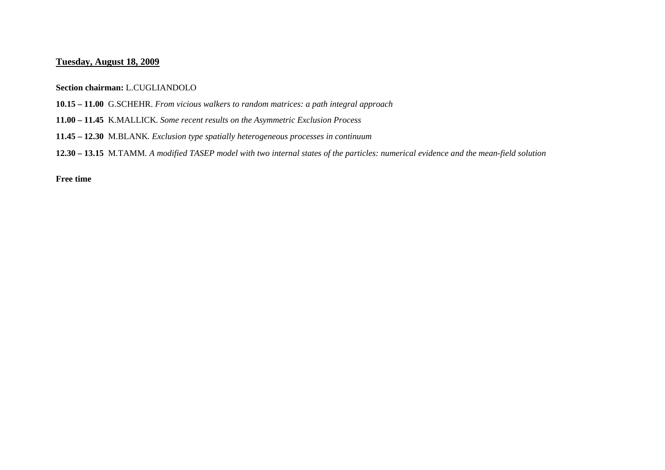# **Tuesday, August 18, 2009**

**Section chairman:** L.CUGLIANDOLO

- **10.15 11.00** G.SCHEHR. *From vicious walkers to random matrices: a path integral approach*
- **11.00 11.45** K.MALLICK*. Some recent results on the Asymmetric Exclusion Process*
- **11.45 12.30** M.BLANK*. Exclusion type spatially heterogeneous processes in continuum*
- **12.30 13.15** M.TAMM*. A modified TASEP model with two internal states of the particles: numerical evidence and the mean-field solution*

**Free time**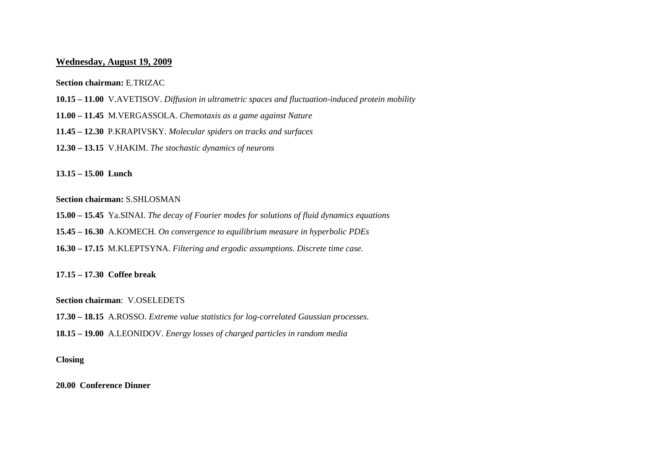# **Wednesday, August 19, 2009**

## **Section chairman:** E.TRIZAC

- **10.15 11.00** V.AVETISOV. *Diffusion in ultrametric spaces and fluctuation-induced protein mobility*
- **11.00 11.45** M.VERGASSOLA. *Chemotaxis as a game against Nature*
- **11.45 12.30** P.KRAPIVSKY*. Molecular spiders on tracks and surfaces*
- **12.30 13.15** V.HAKIM. *The stochastic dynamics of neurons*

**13.15 – 15.00 Lunch** 

## **Section chairman:** S.SHLOSMAN

**15.00 – 15.45** Ya.SINAI. *The decay of Fourier modes for solutions of fluid dynamics equations*

**15.45 – 16.30** A.KOMECH*. On convergence to equilibrium measure in hyperbolic PDEs*

**16.30 – 17.15** M.KLEPTSYNA. *Filtering and ergodic assumptions. Discrete time case.*

**17.15 – 17.30 Coffee break**

**Section chairman**: V.OSELEDETS

**17.30 – 18.15** A.ROSSO. *Extreme value statistics for log-correlated Gaussian processes.* 

**18.15 – 19.00** A.LEONIDOV. *Energy losses of charged particles in random media*

#### **Closing**

**20.00 Conference Dinner**